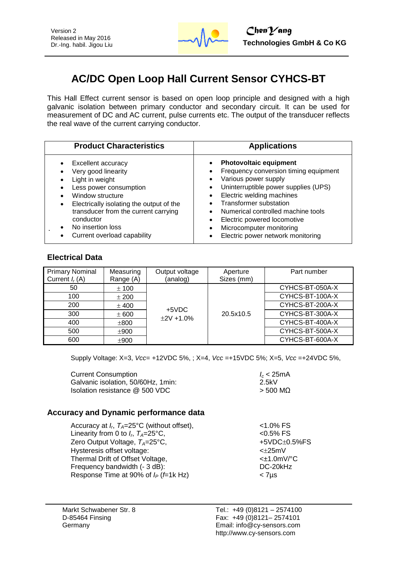

# **AC/DC Open Loop Hall Current Sensor CYHCS-BT**

This Hall Effect current sensor is based on open loop principle and designed with a high galvanic isolation between primary conductor and secondary circuit. It can be used for measurement of DC and AC current, pulse currents etc. The output of the transducer reflects the real wave of the current carrying conductor.

| <b>Product Characteristics</b>           | <b>Applications</b>                   |
|------------------------------------------|---------------------------------------|
| Excellent accuracy                       | <b>Photovoltaic equipment</b>         |
| Very good linearity                      | Frequency conversion timing equipment |
| Light in weight                          | Various power supply                  |
| Less power consumption                   | Uninterruptible power supplies (UPS)  |
| Window structure                         | Electric welding machines             |
| Electrically isolating the output of the | <b>Transformer substation</b>         |
| transducer from the current carrying     | Numerical controlled machine tools    |
| conductor                                | Electric powered locomotive           |
| No insertion loss                        | Microcomputer monitoring              |
| Current overload capability              | Electric power network monitoring     |

#### **Electrical Data**

| <b>Primary Nominal</b><br>Current $I_r(A)$ | Measuring<br>Range (A) | Output voltage<br>(analog) | Aperture<br>Sizes (mm) | Part number     |
|--------------------------------------------|------------------------|----------------------------|------------------------|-----------------|
| 50                                         | ± 100                  |                            |                        | CYHCS-BT-050A-X |
| 100                                        | ± 200                  | $+5VDC$                    |                        | CYHCS-BT-100A-X |
| 200                                        | $±$ 400                |                            |                        | CYHCS-BT-200A-X |
| 300                                        | ± 600                  | $±2V +1.0%$                | 20.5x10.5              | CYHCS-BT-300A-X |
| 400                                        | ±800                   |                            |                        | CYHCS-BT-400A-X |
| 500                                        | ±900                   |                            |                        | CYHCS-BT-500A-X |
| 600                                        | ±900                   |                            |                        | CYHCS-BT-600A-X |

Supply Voltage: X=3, *Vcc*= +12VDC 5%, ; X=4, *Vcc* =+15VDC 5%; X=5, *Vcc* =+24VDC 5%,

| <b>Current Consumption</b>         | $l_c$ < 25mA |
|------------------------------------|--------------|
| Galvanic isolation, 50/60Hz, 1min: | 2.5kV        |
| Isolation resistance @ 500 VDC     | $>$ 500 MQ   |

#### **Accuracy and Dynamic performance data**